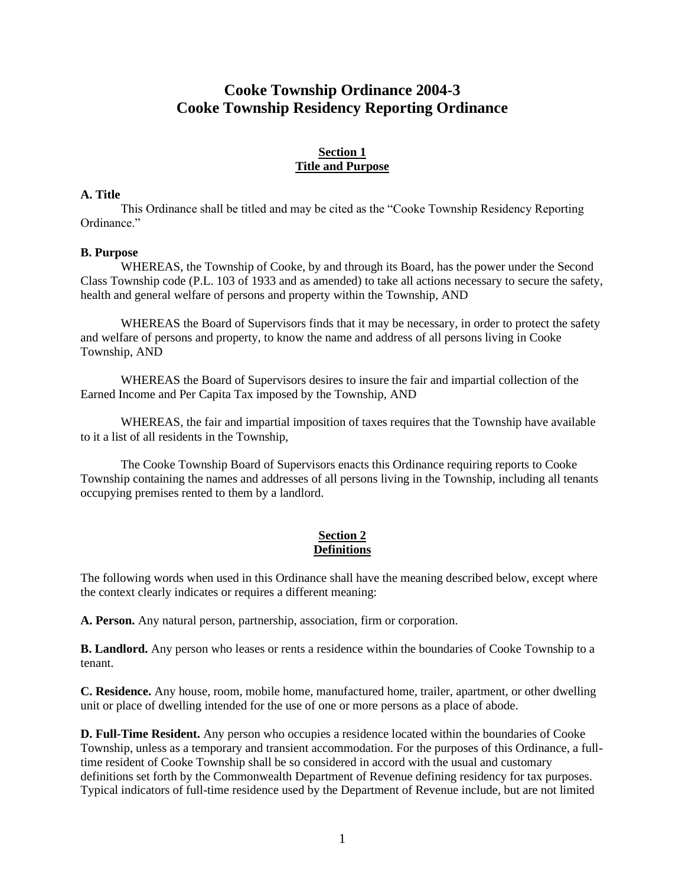# **Cooke Township Ordinance 2004-3 Cooke Township Residency Reporting Ordinance**

# **Section 1 Title and Purpose**

## **A. Title**

This Ordinance shall be titled and may be cited as the "Cooke Township Residency Reporting Ordinance."

#### **B. Purpose**

WHEREAS, the Township of Cooke, by and through its Board, has the power under the Second Class Township code (P.L. 103 of 1933 and as amended) to take all actions necessary to secure the safety, health and general welfare of persons and property within the Township, AND

WHEREAS the Board of Supervisors finds that it may be necessary, in order to protect the safety and welfare of persons and property, to know the name and address of all persons living in Cooke Township, AND

WHEREAS the Board of Supervisors desires to insure the fair and impartial collection of the Earned Income and Per Capita Tax imposed by the Township, AND

 WHEREAS, the fair and impartial imposition of taxes requires that the Township have available to it a list of all residents in the Township,

The Cooke Township Board of Supervisors enacts this Ordinance requiring reports to Cooke Township containing the names and addresses of all persons living in the Township, including all tenants occupying premises rented to them by a landlord.

## **Section 2 Definitions**

The following words when used in this Ordinance shall have the meaning described below, except where the context clearly indicates or requires a different meaning:

**A. Person.** Any natural person, partnership, association, firm or corporation.

**B. Landlord.** Any person who leases or rents a residence within the boundaries of Cooke Township to a tenant.

**C. Residence.** Any house, room, mobile home, manufactured home, trailer, apartment, or other dwelling unit or place of dwelling intended for the use of one or more persons as a place of abode.

**D. Full-Time Resident.** Any person who occupies a residence located within the boundaries of Cooke Township, unless as a temporary and transient accommodation. For the purposes of this Ordinance, a fulltime resident of Cooke Township shall be so considered in accord with the usual and customary definitions set forth by the Commonwealth Department of Revenue defining residency for tax purposes. Typical indicators of full-time residence used by the Department of Revenue include, but are not limited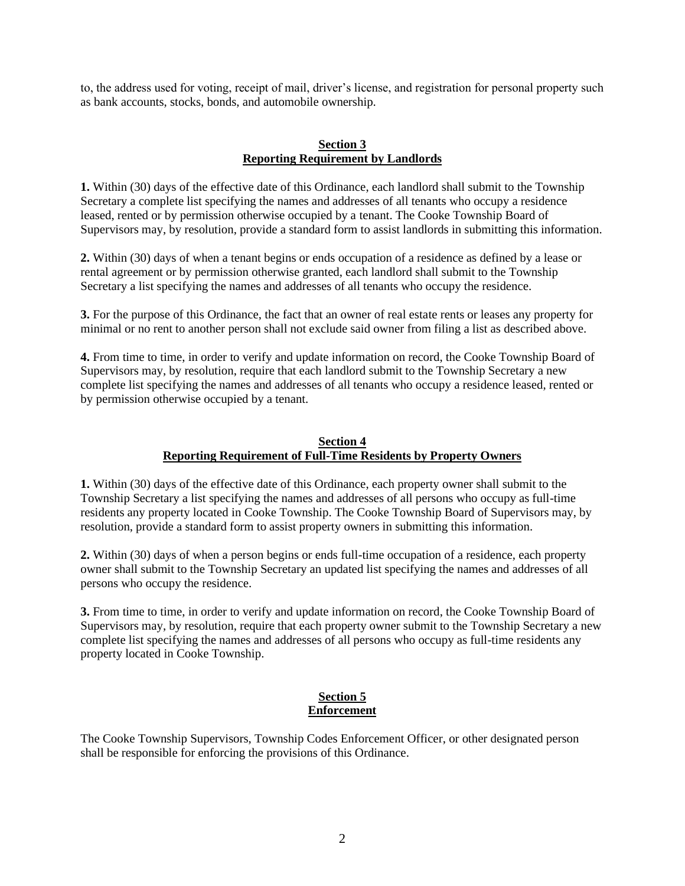to, the address used for voting, receipt of mail, driver's license, and registration for personal property such as bank accounts, stocks, bonds, and automobile ownership.

## **Section 3 Reporting Requirement by Landlords**

**1.** Within (30) days of the effective date of this Ordinance, each landlord shall submit to the Township Secretary a complete list specifying the names and addresses of all tenants who occupy a residence leased, rented or by permission otherwise occupied by a tenant. The Cooke Township Board of Supervisors may, by resolution, provide a standard form to assist landlords in submitting this information.

**2.** Within (30) days of when a tenant begins or ends occupation of a residence as defined by a lease or rental agreement or by permission otherwise granted, each landlord shall submit to the Township Secretary a list specifying the names and addresses of all tenants who occupy the residence.

**3.** For the purpose of this Ordinance, the fact that an owner of real estate rents or leases any property for minimal or no rent to another person shall not exclude said owner from filing a list as described above.

**4.** From time to time, in order to verify and update information on record, the Cooke Township Board of Supervisors may, by resolution, require that each landlord submit to the Township Secretary a new complete list specifying the names and addresses of all tenants who occupy a residence leased, rented or by permission otherwise occupied by a tenant.

## **Section 4 Reporting Requirement of Full-Time Residents by Property Owners**

**1.** Within (30) days of the effective date of this Ordinance, each property owner shall submit to the Township Secretary a list specifying the names and addresses of all persons who occupy as full-time residents any property located in Cooke Township. The Cooke Township Board of Supervisors may, by resolution, provide a standard form to assist property owners in submitting this information.

**2.** Within (30) days of when a person begins or ends full-time occupation of a residence, each property owner shall submit to the Township Secretary an updated list specifying the names and addresses of all persons who occupy the residence.

**3.** From time to time, in order to verify and update information on record, the Cooke Township Board of Supervisors may, by resolution, require that each property owner submit to the Township Secretary a new complete list specifying the names and addresses of all persons who occupy as full-time residents any property located in Cooke Township.

## **Section 5 Enforcement**

The Cooke Township Supervisors, Township Codes Enforcement Officer, or other designated person shall be responsible for enforcing the provisions of this Ordinance.